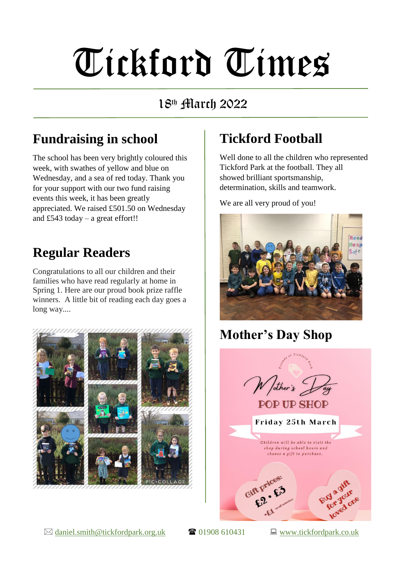# Tickford Times

#### 18th March 2022

## **Fundraising in school**

The school has been very brightly coloured this week, with swathes of yellow and blue on Wednesday, and a sea of red today. Thank you for your support with our two fund raising events this week, it has been greatly appreciated. We raised £501.50 on Wednesday and £543 today – a great effort!!

## **Regular Readers**

Congratulations to all our children and their families who have read regularly at home in Spring 1. Here are our proud book prize raffle winners. A little bit of reading each day goes a long way....



# **Tickford Football**

Well done to all the children who represented Tickford Park at the football. They all showed brilliant sportsmanship, determination, skills and teamwork.

We are all very proud of you!



**Mother's Day Shop**